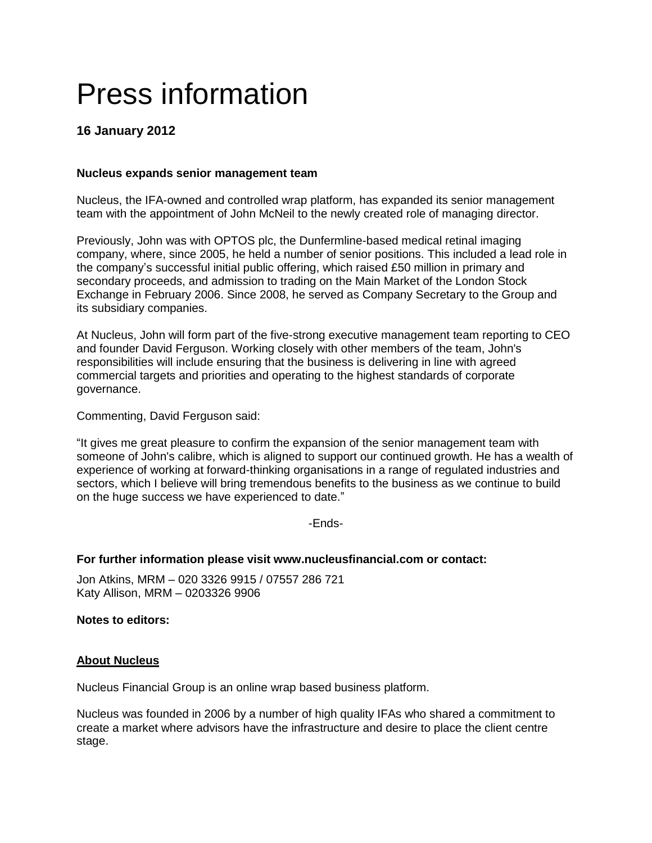# Press information

# **16 January 2012**

## **Nucleus expands senior management team**

Nucleus, the IFA-owned and controlled wrap platform, has expanded its senior management team with the appointment of John McNeil to the newly created role of managing director.

Previously, John was with OPTOS plc, the Dunfermline-based medical retinal imaging company, where, since 2005, he held a number of senior positions. This included a lead role in the company's successful initial public offering, which raised £50 million in primary and secondary proceeds, and admission to trading on the Main Market of the London Stock Exchange in February 2006. Since 2008, he served as Company Secretary to the Group and its subsidiary companies.

At Nucleus, John will form part of the five-strong executive management team reporting to CEO and founder David Ferguson. Working closely with other members of the team, John's responsibilities will include ensuring that the business is delivering in line with agreed commercial targets and priorities and operating to the highest standards of corporate governance.

Commenting, David Ferguson said:

"It gives me great pleasure to confirm the expansion of the senior management team with someone of John's calibre, which is aligned to support our continued growth. He has a wealth of experience of working at forward-thinking organisations in a range of regulated industries and sectors, which I believe will bring tremendous benefits to the business as we continue to build on the huge success we have experienced to date."

-Ends-

### **For further information please visit www.nucleusfinancial.com or contact:**

Jon Atkins, MRM – 020 3326 9915 / 07557 286 721 Katy Allison, MRM – 0203326 9906

**Notes to editors:**

### **About Nucleus**

Nucleus Financial Group is an online wrap based business platform.

Nucleus was founded in 2006 by a number of high quality IFAs who shared a commitment to create a market where advisors have the infrastructure and desire to place the client centre stage.